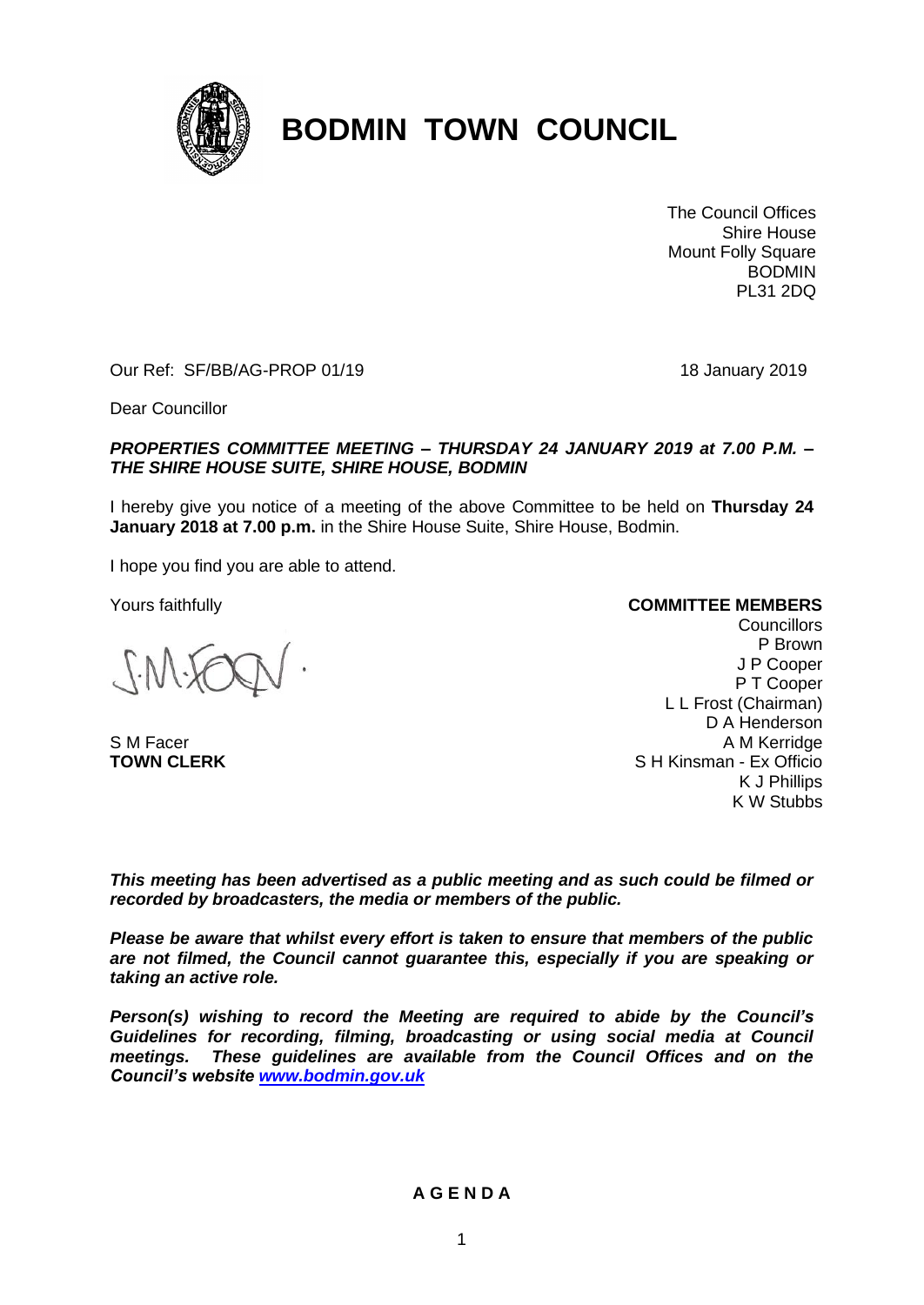

# **BODMIN TOWN COUNCIL**

The Council Offices Shire House Mount Folly Square BODMIN PL31 2DQ

Our Ref: SF/BB/AG-PROP 01/19 18 January 2019

Dear Councillor

#### *PROPERTIES COMMITTEE MEETING – THURSDAY 24 JANUARY 2019 at 7.00 P.M. – THE SHIRE HOUSE SUITE, SHIRE HOUSE, BODMIN*

I hereby give you notice of a meeting of the above Committee to be held on **Thursday 24 January 2018 at 7.00 p.m.** in the Shire House Suite, Shire House, Bodmin.

I hope you find you are able to attend.

Yours faithfully

S M Facer **TOWN CLERK**

#### **COMMITTEE MEMBERS**

**Councillors** P Brown J P Cooper P T Cooper L L Frost (Chairman) D A Henderson A M Kerridge S H Kinsman - Ex Officio K J Phillips K W Stubbs

*This meeting has been advertised as a public meeting and as such could be filmed or recorded by broadcasters, the media or members of the public.*

*Please be aware that whilst every effort is taken to ensure that members of the public are not filmed, the Council cannot guarantee this, especially if you are speaking or taking an active role.*

*Person(s) wishing to record the Meeting are required to abide by the Council's Guidelines for recording, filming, broadcasting or using social media at Council meetings. These guidelines are available from the Council Offices and on the Council's website [www.bodmin.gov.uk](http://www.bodmin.gov.uk/)*

#### **A G E N D A**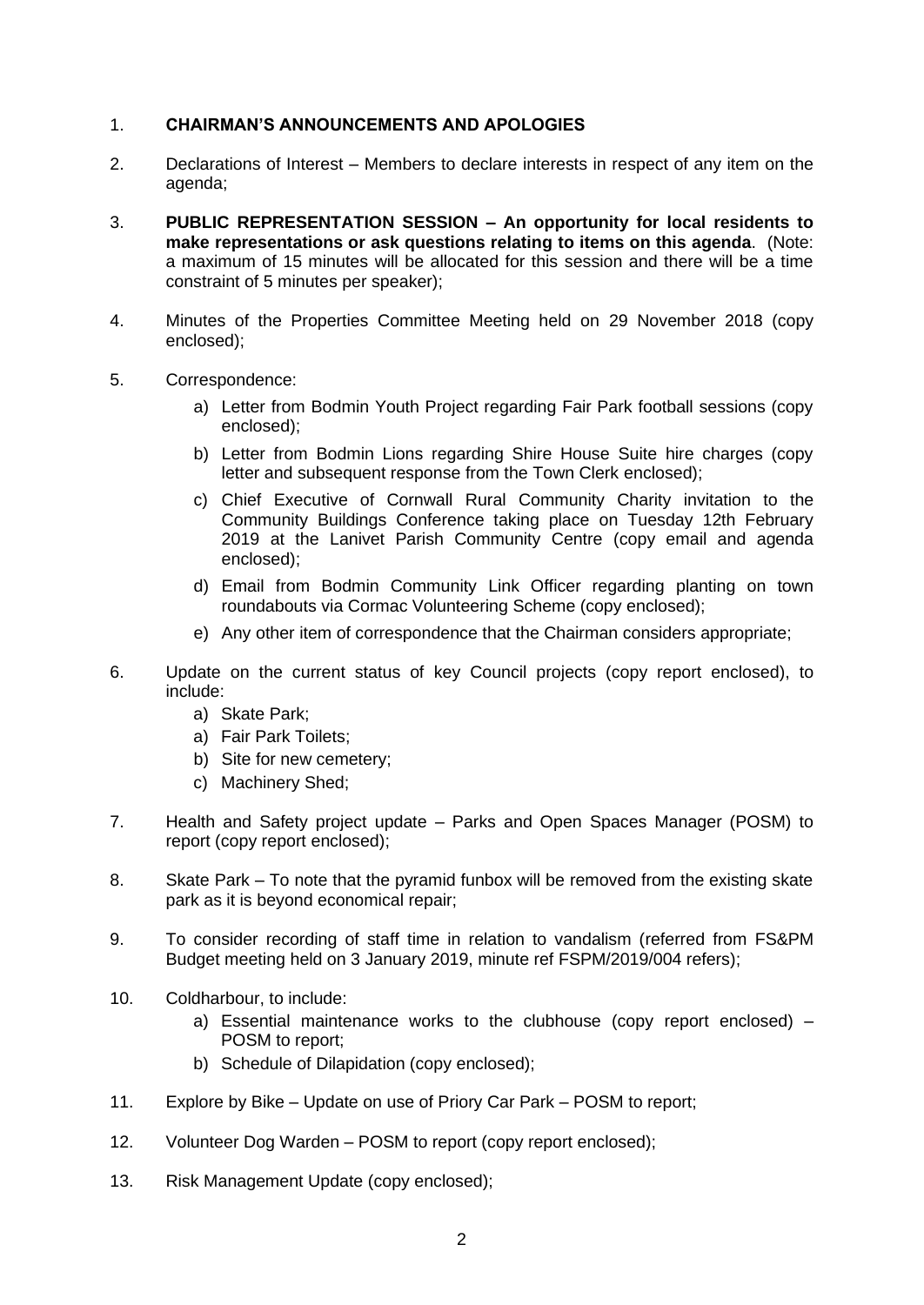## 1. **CHAIRMAN'S ANNOUNCEMENTS AND APOLOGIES**

- 2. Declarations of Interest Members to declare interests in respect of any item on the agenda;
- 3. **PUBLIC REPRESENTATION SESSION – An opportunity for local residents to make representations or ask questions relating to items on this agenda**. (Note: a maximum of 15 minutes will be allocated for this session and there will be a time constraint of 5 minutes per speaker);
- 4. Minutes of the Properties Committee Meeting held on 29 November 2018 (copy enclosed);
- 5. Correspondence:
	- a) Letter from Bodmin Youth Project regarding Fair Park football sessions (copy enclosed);
	- b) Letter from Bodmin Lions regarding Shire House Suite hire charges (copy letter and subsequent response from the Town Clerk enclosed);
	- c) Chief Executive of Cornwall Rural Community Charity invitation to the Community Buildings Conference taking place on Tuesday 12th February 2019 at the Lanivet Parish Community Centre (copy email and agenda enclosed);
	- d) Email from Bodmin Community Link Officer regarding planting on town roundabouts via Cormac Volunteering Scheme (copy enclosed);
	- e) Any other item of correspondence that the Chairman considers appropriate;
- 6. Update on the current status of key Council projects (copy report enclosed), to include:
	- a) Skate Park;
	- a) Fair Park Toilets;
	- b) Site for new cemetery;
	- c) Machinery Shed;
- 7. Health and Safety project update Parks and Open Spaces Manager (POSM) to report (copy report enclosed);
- 8. Skate Park To note that the pyramid funbox will be removed from the existing skate park as it is beyond economical repair;
- 9. To consider recording of staff time in relation to vandalism (referred from FS&PM Budget meeting held on 3 January 2019, minute ref FSPM/2019/004 refers);
- 10. Coldharbour, to include:
	- a) Essential maintenance works to the clubhouse (copy report enclosed) POSM to report;
	- b) Schedule of Dilapidation (copy enclosed);
- 11. Explore by Bike Update on use of Priory Car Park POSM to report;
- 12. Volunteer Dog Warden POSM to report (copy report enclosed);
- 13. Risk Management Update (copy enclosed);